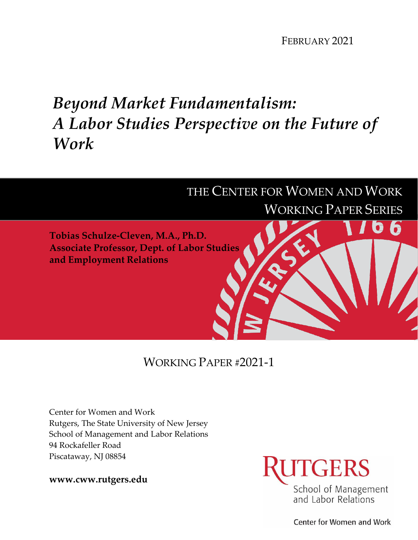FEBRUARY 2021

# *Beyond Market Fundamentalism: A Labor Studies Perspective on the Future of Work*



**Tobias Schulze-Cleven, M.A., Ph.D. Associate Professor, Dept. of Labor Studies and Employment Relations**



 $\bullet$ 

## WORKING PAPER #2021-1

Center for Women and Work Rutgers, The State University of New Jersey School of Management and Labor Relations 94 Rockafeller Road Piscataway, NJ 08854

**[www.cww.rutgers.edu](http://www.cww.rutgers.edu/)**



Center for Women and Work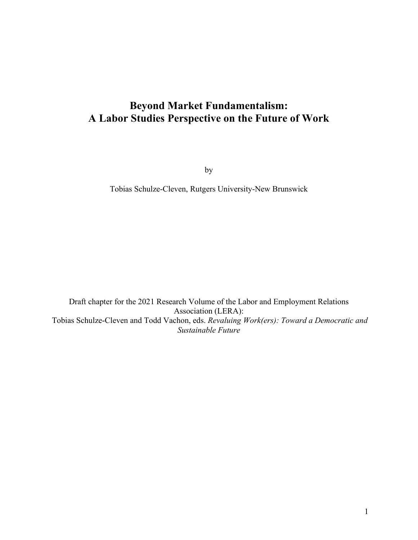### **Beyond Market Fundamentalism: A Labor Studies Perspective on the Future of Work**

by

Tobias Schulze-Cleven, Rutgers University-New Brunswick

Draft chapter for the 2021 Research Volume of the Labor and Employment Relations Association (LERA): Tobias Schulze-Cleven and Todd Vachon, eds. *Revaluing Work(ers): Toward a Democratic and Sustainable Future*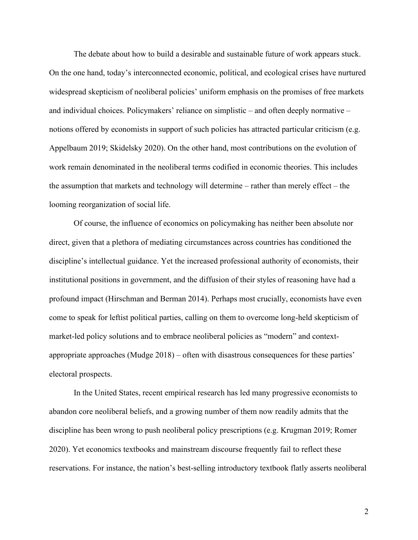The debate about how to build a desirable and sustainable future of work appears stuck. On the one hand, today's interconnected economic, political, and ecological crises have nurtured widespread skepticism of neoliberal policies' uniform emphasis on the promises of free markets and individual choices. Policymakers' reliance on simplistic – and often deeply normative – notions offered by economists in support of such policies has attracted particular criticism (e.g. Appelbaum 2019; Skidelsky 2020). On the other hand, most contributions on the evolution of work remain denominated in the neoliberal terms codified in economic theories. This includes the assumption that markets and technology will determine – rather than merely effect – the looming reorganization of social life.

Of course, the influence of economics on policymaking has neither been absolute nor direct, given that a plethora of mediating circumstances across countries has conditioned the discipline's intellectual guidance. Yet the increased professional authority of economists, their institutional positions in government, and the diffusion of their styles of reasoning have had a profound impact (Hirschman and Berman 2014). Perhaps most crucially, economists have even come to speak for leftist political parties, calling on them to overcome long-held skepticism of market-led policy solutions and to embrace neoliberal policies as "modern" and contextappropriate approaches (Mudge 2018) – often with disastrous consequences for these parties' electoral prospects.

In the United States, recent empirical research has led many progressive economists to abandon core neoliberal beliefs, and a growing number of them now readily admits that the discipline has been wrong to push neoliberal policy prescriptions (e.g. Krugman 2019; Romer 2020). Yet economics textbooks and mainstream discourse frequently fail to reflect these reservations. For instance, the nation's best-selling introductory textbook flatly asserts neoliberal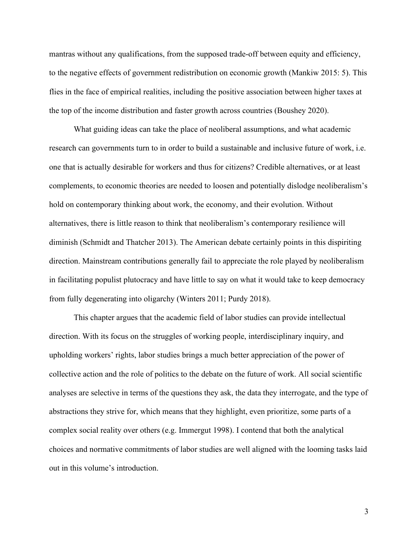mantras without any qualifications, from the supposed trade-off between equity and efficiency, to the negative effects of government redistribution on economic growth (Mankiw 2015: 5). This flies in the face of empirical realities, including the positive association between higher taxes at the top of the income distribution and faster growth across countries (Boushey 2020).

What guiding ideas can take the place of neoliberal assumptions, and what academic research can governments turn to in order to build a sustainable and inclusive future of work, i.e. one that is actually desirable for workers and thus for citizens? Credible alternatives, or at least complements, to economic theories are needed to loosen and potentially dislodge neoliberalism's hold on contemporary thinking about work, the economy, and their evolution. Without alternatives, there is little reason to think that neoliberalism's contemporary resilience will diminish (Schmidt and Thatcher 2013). The American debate certainly points in this dispiriting direction. Mainstream contributions generally fail to appreciate the role played by neoliberalism in facilitating populist plutocracy and have little to say on what it would take to keep democracy from fully degenerating into oligarchy (Winters 2011; Purdy 2018).

This chapter argues that the academic field of labor studies can provide intellectual direction. With its focus on the struggles of working people, interdisciplinary inquiry, and upholding workers' rights, labor studies brings a much better appreciation of the power of collective action and the role of politics to the debate on the future of work. All social scientific analyses are selective in terms of the questions they ask, the data they interrogate, and the type of abstractions they strive for, which means that they highlight, even prioritize, some parts of a complex social reality over others (e.g. Immergut 1998). I contend that both the analytical choices and normative commitments of labor studies are well aligned with the looming tasks laid out in this volume's introduction.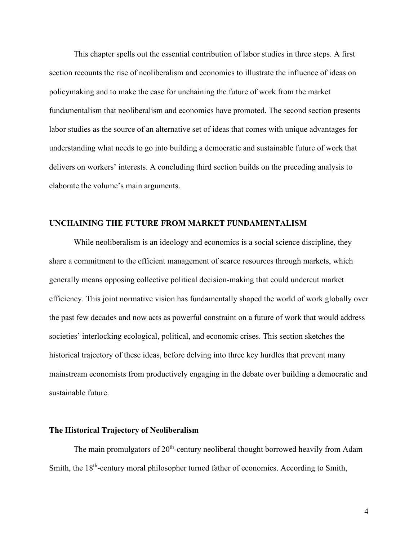This chapter spells out the essential contribution of labor studies in three steps. A first section recounts the rise of neoliberalism and economics to illustrate the influence of ideas on policymaking and to make the case for unchaining the future of work from the market fundamentalism that neoliberalism and economics have promoted. The second section presents labor studies as the source of an alternative set of ideas that comes with unique advantages for understanding what needs to go into building a democratic and sustainable future of work that delivers on workers' interests. A concluding third section builds on the preceding analysis to elaborate the volume's main arguments.

#### **UNCHAINING THE FUTURE FROM MARKET FUNDAMENTALISM**

While neoliberalism is an ideology and economics is a social science discipline, they share a commitment to the efficient management of scarce resources through markets, which generally means opposing collective political decision-making that could undercut market efficiency. This joint normative vision has fundamentally shaped the world of work globally over the past few decades and now acts as powerful constraint on a future of work that would address societies' interlocking ecological, political, and economic crises. This section sketches the historical trajectory of these ideas, before delving into three key hurdles that prevent many mainstream economists from productively engaging in the debate over building a democratic and sustainable future.

#### **The Historical Trajectory of Neoliberalism**

The main promulgators of  $20<sup>th</sup>$ -century neoliberal thought borrowed heavily from Adam Smith, the 18<sup>th</sup>-century moral philosopher turned father of economics. According to Smith,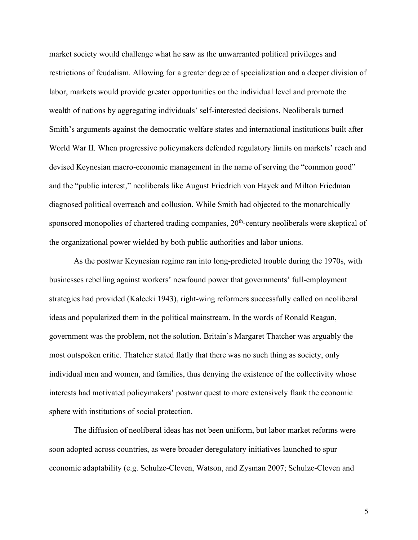market society would challenge what he saw as the unwarranted political privileges and restrictions of feudalism. Allowing for a greater degree of specialization and a deeper division of labor, markets would provide greater opportunities on the individual level and promote the wealth of nations by aggregating individuals' self-interested decisions. Neoliberals turned Smith's arguments against the democratic welfare states and international institutions built after World War II. When progressive policymakers defended regulatory limits on markets' reach and devised Keynesian macro-economic management in the name of serving the "common good" and the "public interest," neoliberals like August Friedrich von Hayek and Milton Friedman diagnosed political overreach and collusion. While Smith had objected to the monarchically sponsored monopolies of chartered trading companies, 20<sup>th</sup>-century neoliberals were skeptical of the organizational power wielded by both public authorities and labor unions.

As the postwar Keynesian regime ran into long-predicted trouble during the 1970s, with businesses rebelling against workers' newfound power that governments' full-employment strategies had provided (Kalecki 1943), right-wing reformers successfully called on neoliberal ideas and popularized them in the political mainstream. In the words of Ronald Reagan, government was the problem, not the solution. Britain's Margaret Thatcher was arguably the most outspoken critic. Thatcher stated flatly that there was no such thing as society, only individual men and women, and families, thus denying the existence of the collectivity whose interests had motivated policymakers' postwar quest to more extensively flank the economic sphere with institutions of social protection.

The diffusion of neoliberal ideas has not been uniform, but labor market reforms were soon adopted across countries, as were broader deregulatory initiatives launched to spur economic adaptability (e.g. Schulze-Cleven, Watson, and Zysman 2007; Schulze-Cleven and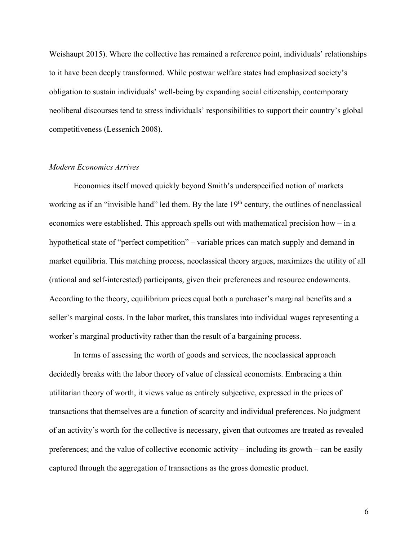Weishaupt 2015). Where the collective has remained a reference point, individuals' relationships to it have been deeply transformed. While postwar welfare states had emphasized society's obligation to sustain individuals' well-being by expanding social citizenship, contemporary neoliberal discourses tend to stress individuals' responsibilities to support their country's global competitiveness (Lessenich 2008).

#### *Modern Economics Arrives*

Economics itself moved quickly beyond Smith's underspecified notion of markets working as if an "invisible hand" led them. By the late  $19<sup>th</sup>$  century, the outlines of neoclassical economics were established. This approach spells out with mathematical precision how – in a hypothetical state of "perfect competition" – variable prices can match supply and demand in market equilibria. This matching process, neoclassical theory argues, maximizes the utility of all (rational and self-interested) participants, given their preferences and resource endowments. According to the theory, equilibrium prices equal both a purchaser's marginal benefits and a seller's marginal costs. In the labor market, this translates into individual wages representing a worker's marginal productivity rather than the result of a bargaining process.

In terms of assessing the worth of goods and services, the neoclassical approach decidedly breaks with the labor theory of value of classical economists. Embracing a thin utilitarian theory of worth, it views value as entirely subjective, expressed in the prices of transactions that themselves are a function of scarcity and individual preferences. No judgment of an activity's worth for the collective is necessary, given that outcomes are treated as revealed preferences; and the value of collective economic activity – including its growth – can be easily captured through the aggregation of transactions as the gross domestic product.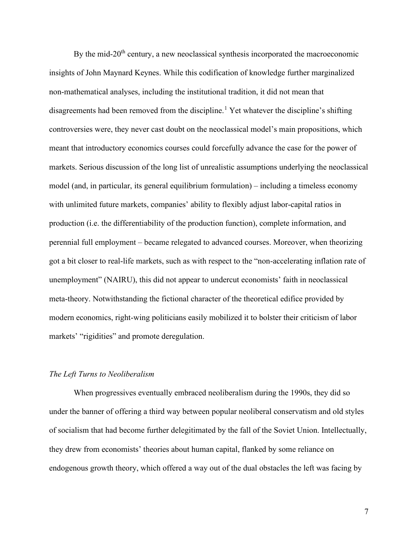By the mid-20<sup>th</sup> century, a new neoclassical synthesis incorporated the macroeconomic insights of John Maynard Keynes. While this codification of knowledge further marginalized non-mathematical analyses, including the institutional tradition, it did not mean that disagreements had been removed from the discipline.<sup>[1](#page-37-0)</sup> Yet whatever the discipline's shifting controversies were, they never cast doubt on the neoclassical model's main propositions, which meant that introductory economics courses could forcefully advance the case for the power of markets. Serious discussion of the long list of unrealistic assumptions underlying the neoclassical model (and, in particular, its general equilibrium formulation) – including a timeless economy with unlimited future markets, companies' ability to flexibly adjust labor-capital ratios in production (i.e. the differentiability of the production function), complete information, and perennial full employment – became relegated to advanced courses. Moreover, when theorizing got a bit closer to real-life markets, such as with respect to the "non-accelerating inflation rate of unemployment" (NAIRU), this did not appear to undercut economists' faith in neoclassical meta-theory. Notwithstanding the fictional character of the theoretical edifice provided by modern economics, right-wing politicians easily mobilized it to bolster their criticism of labor markets' "rigidities" and promote deregulation.

#### *The Left Turns to Neoliberalism*

When progressives eventually embraced neoliberalism during the 1990s, they did so under the banner of offering a third way between popular neoliberal conservatism and old styles of socialism that had become further delegitimated by the fall of the Soviet Union. Intellectually, they drew from economists' theories about human capital, flanked by some reliance on endogenous growth theory, which offered a way out of the dual obstacles the left was facing by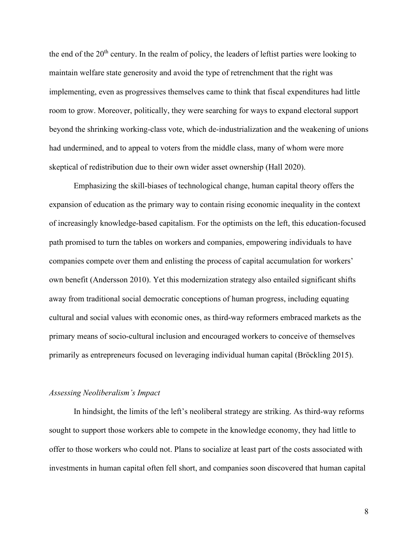the end of the  $20<sup>th</sup>$  century. In the realm of policy, the leaders of leftist parties were looking to maintain welfare state generosity and avoid the type of retrenchment that the right was implementing, even as progressives themselves came to think that fiscal expenditures had little room to grow. Moreover, politically, they were searching for ways to expand electoral support beyond the shrinking working-class vote, which de-industrialization and the weakening of unions had undermined, and to appeal to voters from the middle class, many of whom were more skeptical of redistribution due to their own wider asset ownership (Hall 2020).

Emphasizing the skill-biases of technological change, human capital theory offers the expansion of education as the primary way to contain rising economic inequality in the context of increasingly knowledge-based capitalism. For the optimists on the left, this education-focused path promised to turn the tables on workers and companies, empowering individuals to have companies compete over them and enlisting the process of capital accumulation for workers' own benefit (Andersson 2010). Yet this modernization strategy also entailed significant shifts away from traditional social democratic conceptions of human progress, including equating cultural and social values with economic ones, as third-way reformers embraced markets as the primary means of socio-cultural inclusion and encouraged workers to conceive of themselves primarily as entrepreneurs focused on leveraging individual human capital (Bröckling 2015).

#### *Assessing Neoliberalism's Impact*

In hindsight, the limits of the left's neoliberal strategy are striking. As third-way reforms sought to support those workers able to compete in the knowledge economy, they had little to offer to those workers who could not. Plans to socialize at least part of the costs associated with investments in human capital often fell short, and companies soon discovered that human capital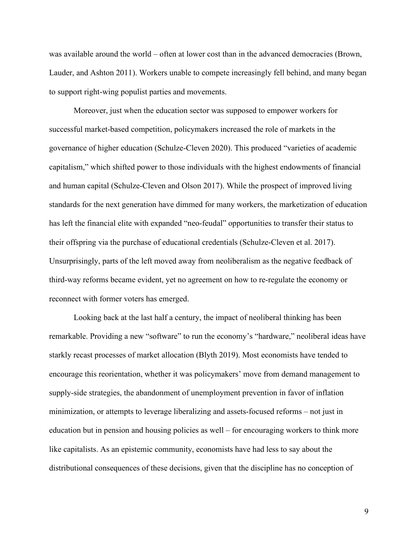was available around the world – often at lower cost than in the advanced democracies (Brown, Lauder, and Ashton 2011). Workers unable to compete increasingly fell behind, and many began to support right-wing populist parties and movements.

Moreover, just when the education sector was supposed to empower workers for successful market-based competition, policymakers increased the role of markets in the governance of higher education (Schulze-Cleven 2020). This produced "varieties of academic capitalism," which shifted power to those individuals with the highest endowments of financial and human capital (Schulze-Cleven and Olson 2017). While the prospect of improved living standards for the next generation have dimmed for many workers, the marketization of education has left the financial elite with expanded "neo-feudal" opportunities to transfer their status to their offspring via the purchase of educational credentials (Schulze-Cleven et al. 2017). Unsurprisingly, parts of the left moved away from neoliberalism as the negative feedback of third-way reforms became evident, yet no agreement on how to re-regulate the economy or reconnect with former voters has emerged.

Looking back at the last half a century, the impact of neoliberal thinking has been remarkable. Providing a new "software" to run the economy's "hardware," neoliberal ideas have starkly recast processes of market allocation (Blyth 2019). Most economists have tended to encourage this reorientation, whether it was policymakers' move from demand management to supply-side strategies, the abandonment of unemployment prevention in favor of inflation minimization, or attempts to leverage liberalizing and assets-focused reforms – not just in education but in pension and housing policies as well – for encouraging workers to think more like capitalists. As an epistemic community, economists have had less to say about the distributional consequences of these decisions, given that the discipline has no conception of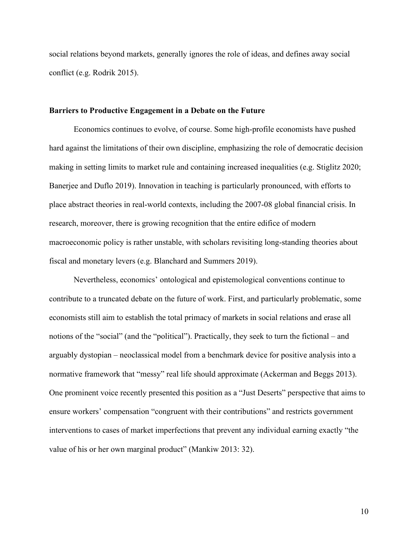social relations beyond markets, generally ignores the role of ideas, and defines away social conflict (e.g. Rodrik 2015).

#### **Barriers to Productive Engagement in a Debate on the Future**

Economics continues to evolve, of course. Some high-profile economists have pushed hard against the limitations of their own discipline, emphasizing the role of democratic decision making in setting limits to market rule and containing increased inequalities (e.g. Stiglitz 2020; Banerjee and Duflo 2019). Innovation in teaching is particularly pronounced, with efforts to place abstract theories in real-world contexts, including the 2007-08 global financial crisis. In research, moreover, there is growing recognition that the entire edifice of modern macroeconomic policy is rather unstable, with scholars revisiting long-standing theories about fiscal and monetary levers (e.g. Blanchard and Summers 2019).

Nevertheless, economics' ontological and epistemological conventions continue to contribute to a truncated debate on the future of work. First, and particularly problematic, some economists still aim to establish the total primacy of markets in social relations and erase all notions of the "social" (and the "political"). Practically, they seek to turn the fictional – and arguably dystopian – neoclassical model from a benchmark device for positive analysis into a normative framework that "messy" real life should approximate (Ackerman and Beggs 2013). One prominent voice recently presented this position as a "Just Deserts" perspective that aims to ensure workers' compensation "congruent with their contributions" and restricts government interventions to cases of market imperfections that prevent any individual earning exactly "the value of his or her own marginal product" (Mankiw 2013: 32).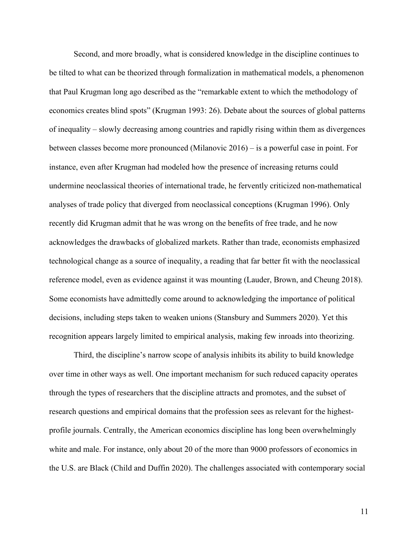Second, and more broadly, what is considered knowledge in the discipline continues to be tilted to what can be theorized through formalization in mathematical models, a phenomenon that Paul Krugman long ago described as the "remarkable extent to which the methodology of economics creates blind spots" (Krugman 1993: 26). Debate about the sources of global patterns of inequality – slowly decreasing among countries and rapidly rising within them as divergences between classes become more pronounced (Milanovic 2016) – is a powerful case in point. For instance, even after Krugman had modeled how the presence of increasing returns could undermine neoclassical theories of international trade, he fervently criticized non-mathematical analyses of trade policy that diverged from neoclassical conceptions (Krugman 1996). Only recently did Krugman admit that he was wrong on the benefits of free trade, and he now acknowledges the drawbacks of globalized markets. Rather than trade, economists emphasized technological change as a source of inequality, a reading that far better fit with the neoclassical reference model, even as evidence against it was mounting (Lauder, Brown, and Cheung 2018). Some economists have admittedly come around to acknowledging the importance of political decisions, including steps taken to weaken unions (Stansbury and Summers 2020). Yet this recognition appears largely limited to empirical analysis, making few inroads into theorizing.

Third, the discipline's narrow scope of analysis inhibits its ability to build knowledge over time in other ways as well. One important mechanism for such reduced capacity operates through the types of researchers that the discipline attracts and promotes, and the subset of research questions and empirical domains that the profession sees as relevant for the highestprofile journals. Centrally, the American economics discipline has long been overwhelmingly white and male. For instance, only about 20 of the more than 9000 professors of economics in the U.S. are Black (Child and Duffin 2020). The challenges associated with contemporary social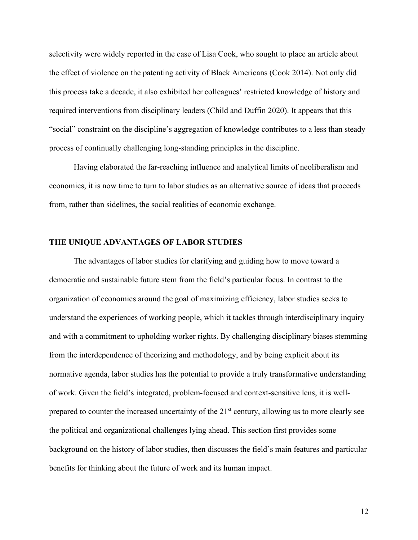selectivity were widely reported in the case of Lisa Cook, who sought to place an article about the effect of violence on the patenting activity of Black Americans (Cook 2014). Not only did this process take a decade, it also exhibited her colleagues' restricted knowledge of history and required interventions from disciplinary leaders (Child and Duffin 2020). It appears that this "social" constraint on the discipline's aggregation of knowledge contributes to a less than steady process of continually challenging long-standing principles in the discipline.

Having elaborated the far-reaching influence and analytical limits of neoliberalism and economics, it is now time to turn to labor studies as an alternative source of ideas that proceeds from, rather than sidelines, the social realities of economic exchange.

#### **THE UNIQUE ADVANTAGES OF LABOR STUDIES**

The advantages of labor studies for clarifying and guiding how to move toward a democratic and sustainable future stem from the field's particular focus. In contrast to the organization of economics around the goal of maximizing efficiency, labor studies seeks to understand the experiences of working people, which it tackles through interdisciplinary inquiry and with a commitment to upholding worker rights. By challenging disciplinary biases stemming from the interdependence of theorizing and methodology, and by being explicit about its normative agenda, labor studies has the potential to provide a truly transformative understanding of work. Given the field's integrated, problem-focused and context-sensitive lens, it is wellprepared to counter the increased uncertainty of the  $21<sup>st</sup>$  century, allowing us to more clearly see the political and organizational challenges lying ahead. This section first provides some background on the history of labor studies, then discusses the field's main features and particular benefits for thinking about the future of work and its human impact.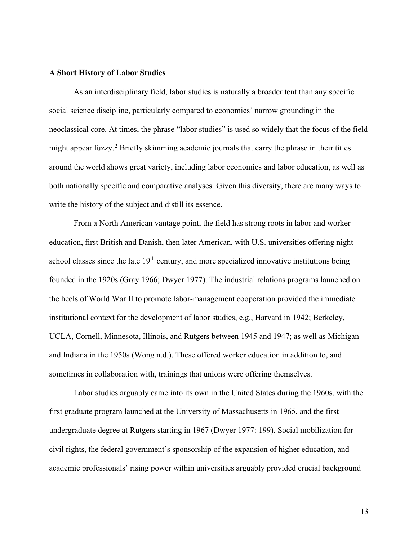#### **A Short History of Labor Studies**

As an interdisciplinary field, labor studies is naturally a broader tent than any specific social science discipline, particularly compared to economics' narrow grounding in the neoclassical core. At times, the phrase "labor studies" is used so widely that the focus of the field might appear fuzzy. [2](#page-37-1) Briefly skimming academic journals that carry the phrase in their titles around the world shows great variety, including labor economics and labor education, as well as both nationally specific and comparative analyses. Given this diversity, there are many ways to write the history of the subject and distill its essence.

From a North American vantage point, the field has strong roots in labor and worker education, first British and Danish, then later American, with U.S. universities offering nightschool classes since the late 19<sup>th</sup> century, and more specialized innovative institutions being founded in the 1920s (Gray 1966; Dwyer 1977). The industrial relations programs launched on the heels of World War II to promote labor-management cooperation provided the immediate institutional context for the development of labor studies, e.g., Harvard in 1942; Berkeley, UCLA, Cornell, Minnesota, Illinois, and Rutgers between 1945 and 1947; as well as Michigan and Indiana in the 1950s (Wong n.d.). These offered worker education in addition to, and sometimes in collaboration with, trainings that unions were offering themselves.

Labor studies arguably came into its own in the United States during the 1960s, with the first graduate program launched at the University of Massachusetts in 1965, and the first undergraduate degree at Rutgers starting in 1967 (Dwyer 1977: 199). Social mobilization for civil rights, the federal government's sponsorship of the expansion of higher education, and academic professionals' rising power within universities arguably provided crucial background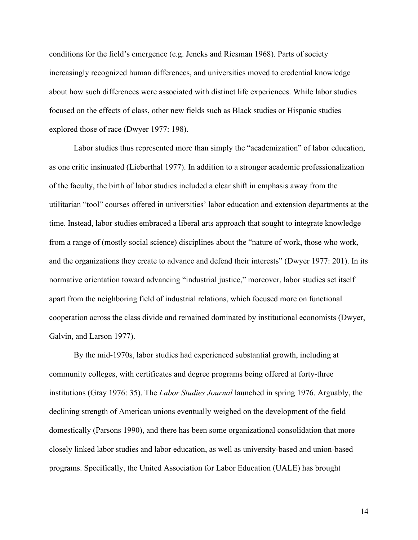conditions for the field's emergence (e.g. Jencks and Riesman 1968). Parts of society increasingly recognized human differences, and universities moved to credential knowledge about how such differences were associated with distinct life experiences. While labor studies focused on the effects of class, other new fields such as Black studies or Hispanic studies explored those of race (Dwyer 1977: 198).

Labor studies thus represented more than simply the "academization" of labor education, as one critic insinuated (Lieberthal 1977). In addition to a stronger academic professionalization of the faculty, the birth of labor studies included a clear shift in emphasis away from the utilitarian "tool" courses offered in universities' labor education and extension departments at the time. Instead, labor studies embraced a liberal arts approach that sought to integrate knowledge from a range of (mostly social science) disciplines about the "nature of work, those who work, and the organizations they create to advance and defend their interests" (Dwyer 1977: 201). In its normative orientation toward advancing "industrial justice," moreover, labor studies set itself apart from the neighboring field of industrial relations, which focused more on functional cooperation across the class divide and remained dominated by institutional economists (Dwyer, Galvin, and Larson 1977).

By the mid-1970s, labor studies had experienced substantial growth, including at community colleges, with certificates and degree programs being offered at forty-three institutions (Gray 1976: 35). The *Labor Studies Journal* launched in spring 1976. Arguably, the declining strength of American unions eventually weighed on the development of the field domestically (Parsons 1990), and there has been some organizational consolidation that more closely linked labor studies and labor education, as well as university-based and union-based programs. Specifically, the United Association for Labor Education (UALE) has brought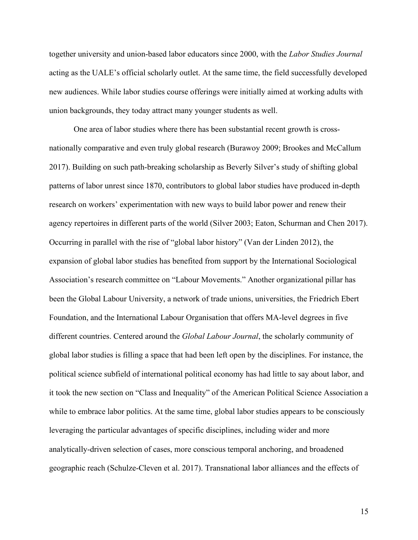together university and union-based labor educators since 2000, with the *Labor Studies Journal* acting as the UALE's official scholarly outlet. At the same time, the field successfully developed new audiences. While labor studies course offerings were initially aimed at working adults with union backgrounds, they today attract many younger students as well.

One area of labor studies where there has been substantial recent growth is crossnationally comparative and even truly global research (Burawoy 2009; Brookes and McCallum 2017). Building on such path-breaking scholarship as Beverly Silver's study of shifting global patterns of labor unrest since 1870, contributors to global labor studies have produced in-depth research on workers' experimentation with new ways to build labor power and renew their agency repertoires in different parts of the world (Silver 2003; Eaton, Schurman and Chen 2017). Occurring in parallel with the rise of "global labor history" (Van der Linden 2012), the expansion of global labor studies has benefited from support by the International Sociological Association's research committee on "Labour Movements." Another organizational pillar has been the Global Labour University, a network of trade unions, universities, the Friedrich Ebert Foundation, and the International Labour Organisation that offers MA-level degrees in five different countries. Centered around the *Global Labour Journal*, the scholarly community of global labor studies is filling a space that had been left open by the disciplines. For instance, the political science subfield of international political economy has had little to say about labor, and it took the new section on "Class and Inequality" of the American Political Science Association a while to embrace labor politics. At the same time, global labor studies appears to be consciously leveraging the particular advantages of specific disciplines, including wider and more analytically-driven selection of cases, more conscious temporal anchoring, and broadened geographic reach (Schulze-Cleven et al. 2017). Transnational labor alliances and the effects of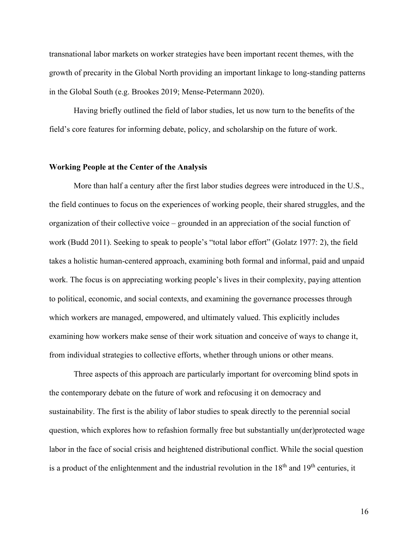transnational labor markets on worker strategies have been important recent themes, with the growth of precarity in the Global North providing an important linkage to long-standing patterns in the Global South (e.g. Brookes 2019; Mense-Petermann 2020).

Having briefly outlined the field of labor studies, let us now turn to the benefits of the field's core features for informing debate, policy, and scholarship on the future of work.

#### **Working People at the Center of the Analysis**

More than half a century after the first labor studies degrees were introduced in the U.S., the field continues to focus on the experiences of working people, their shared struggles, and the organization of their collective voice – grounded in an appreciation of the social function of work (Budd 2011). Seeking to speak to people's "total labor effort" (Golatz 1977: 2), the field takes a holistic human-centered approach, examining both formal and informal, paid and unpaid work. The focus is on appreciating working people's lives in their complexity, paying attention to political, economic, and social contexts, and examining the governance processes through which workers are managed, empowered, and ultimately valued. This explicitly includes examining how workers make sense of their work situation and conceive of ways to change it, from individual strategies to collective efforts, whether through unions or other means.

Three aspects of this approach are particularly important for overcoming blind spots in the contemporary debate on the future of work and refocusing it on democracy and sustainability. The first is the ability of labor studies to speak directly to the perennial social question, which explores how to refashion formally free but substantially un(der)protected wage labor in the face of social crisis and heightened distributional conflict. While the social question is a product of the enlightenment and the industrial revolution in the  $18<sup>th</sup>$  and  $19<sup>th</sup>$  centuries, it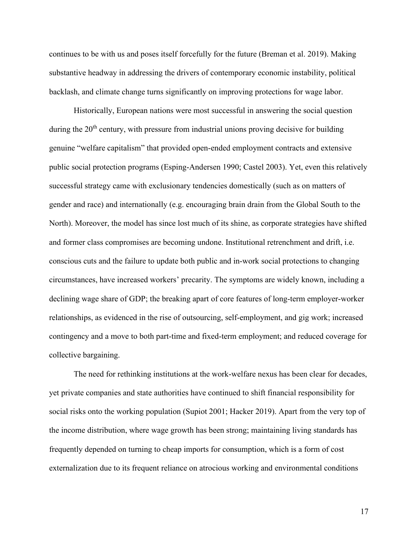continues to be with us and poses itself forcefully for the future (Breman et al. 2019). Making substantive headway in addressing the drivers of contemporary economic instability, political backlash, and climate change turns significantly on improving protections for wage labor.

Historically, European nations were most successful in answering the social question during the  $20<sup>th</sup>$  century, with pressure from industrial unions proving decisive for building genuine "welfare capitalism" that provided open-ended employment contracts and extensive public social protection programs (Esping-Andersen 1990; Castel 2003). Yet, even this relatively successful strategy came with exclusionary tendencies domestically (such as on matters of gender and race) and internationally (e.g. encouraging brain drain from the Global South to the North). Moreover, the model has since lost much of its shine, as corporate strategies have shifted and former class compromises are becoming undone. Institutional retrenchment and drift, i.e. conscious cuts and the failure to update both public and in-work social protections to changing circumstances, have increased workers' precarity. The symptoms are widely known, including a declining wage share of GDP; the breaking apart of core features of long-term employer-worker relationships, as evidenced in the rise of outsourcing, self-employment, and gig work; increased contingency and a move to both part-time and fixed-term employment; and reduced coverage for collective bargaining.

The need for rethinking institutions at the work-welfare nexus has been clear for decades, yet private companies and state authorities have continued to shift financial responsibility for social risks onto the working population (Supiot 2001; Hacker 2019). Apart from the very top of the income distribution, where wage growth has been strong; maintaining living standards has frequently depended on turning to cheap imports for consumption, which is a form of cost externalization due to its frequent reliance on atrocious working and environmental conditions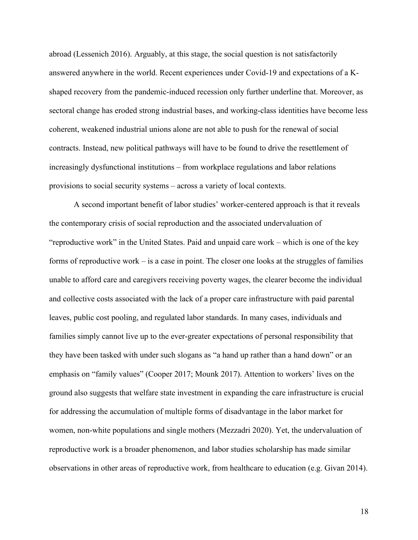abroad (Lessenich 2016). Arguably, at this stage, the social question is not satisfactorily answered anywhere in the world. Recent experiences under Covid-19 and expectations of a Kshaped recovery from the pandemic-induced recession only further underline that. Moreover, as sectoral change has eroded strong industrial bases, and working-class identities have become less coherent, weakened industrial unions alone are not able to push for the renewal of social contracts. Instead, new political pathways will have to be found to drive the resettlement of increasingly dysfunctional institutions – from workplace regulations and labor relations provisions to social security systems – across a variety of local contexts.

A second important benefit of labor studies' worker-centered approach is that it reveals the contemporary crisis of social reproduction and the associated undervaluation of "reproductive work" in the United States. Paid and unpaid care work – which is one of the key forms of reproductive work – is a case in point. The closer one looks at the struggles of families unable to afford care and caregivers receiving poverty wages, the clearer become the individual and collective costs associated with the lack of a proper care infrastructure with paid parental leaves, public cost pooling, and regulated labor standards. In many cases, individuals and families simply cannot live up to the ever-greater expectations of personal responsibility that they have been tasked with under such slogans as "a hand up rather than a hand down" or an emphasis on "family values" (Cooper 2017; Mounk 2017). Attention to workers' lives on the ground also suggests that welfare state investment in expanding the care infrastructure is crucial for addressing the accumulation of multiple forms of disadvantage in the labor market for women, non-white populations and single mothers (Mezzadri 2020). Yet, the undervaluation of reproductive work is a broader phenomenon, and labor studies scholarship has made similar observations in other areas of reproductive work, from healthcare to education (e.g. Givan 2014).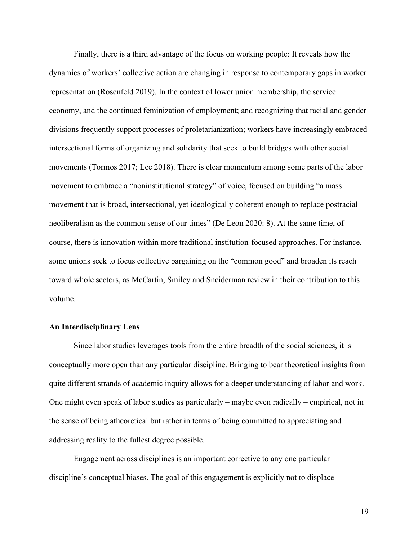Finally, there is a third advantage of the focus on working people: It reveals how the dynamics of workers' collective action are changing in response to contemporary gaps in worker representation (Rosenfeld 2019). In the context of lower union membership, the service economy, and the continued feminization of employment; and recognizing that racial and gender divisions frequently support processes of proletarianization; workers have increasingly embraced intersectional forms of organizing and solidarity that seek to build bridges with other social movements (Tormos 2017; Lee 2018). There is clear momentum among some parts of the labor movement to embrace a "noninstitutional strategy" of voice, focused on building "a mass movement that is broad, intersectional, yet ideologically coherent enough to replace postracial neoliberalism as the common sense of our times" (De Leon 2020: 8). At the same time, of course, there is innovation within more traditional institution-focused approaches. For instance, some unions seek to focus collective bargaining on the "common good" and broaden its reach toward whole sectors, as McCartin, Smiley and Sneiderman review in their contribution to this volume.

#### **An Interdisciplinary Lens**

Since labor studies leverages tools from the entire breadth of the social sciences, it is conceptually more open than any particular discipline. Bringing to bear theoretical insights from quite different strands of academic inquiry allows for a deeper understanding of labor and work. One might even speak of labor studies as particularly – maybe even radically – empirical, not in the sense of being atheoretical but rather in terms of being committed to appreciating and addressing reality to the fullest degree possible.

Engagement across disciplines is an important corrective to any one particular discipline's conceptual biases. The goal of this engagement is explicitly not to displace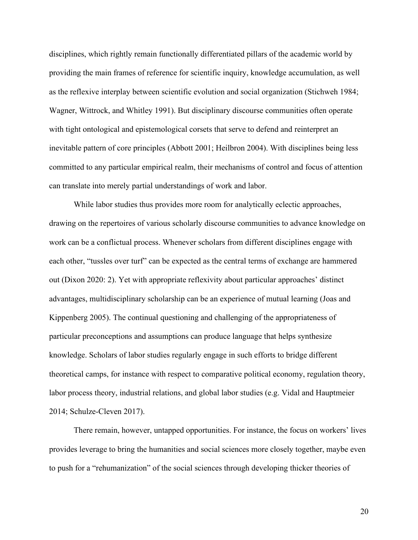disciplines, which rightly remain functionally differentiated pillars of the academic world by providing the main frames of reference for scientific inquiry, knowledge accumulation, as well as the reflexive interplay between scientific evolution and social organization (Stichweh 1984; Wagner, Wittrock, and Whitley 1991). But disciplinary discourse communities often operate with tight ontological and epistemological corsets that serve to defend and reinterpret an inevitable pattern of core principles (Abbott 2001; Heilbron 2004). With disciplines being less committed to any particular empirical realm, their mechanisms of control and focus of attention can translate into merely partial understandings of work and labor.

While labor studies thus provides more room for analytically eclectic approaches, drawing on the repertoires of various scholarly discourse communities to advance knowledge on work can be a conflictual process. Whenever scholars from different disciplines engage with each other, "tussles over turf" can be expected as the central terms of exchange are hammered out (Dixon 2020: 2). Yet with appropriate reflexivity about particular approaches' distinct advantages, multidisciplinary scholarship can be an experience of mutual learning (Joas and Kippenberg 2005). The continual questioning and challenging of the appropriateness of particular preconceptions and assumptions can produce language that helps synthesize knowledge. Scholars of labor studies regularly engage in such efforts to bridge different theoretical camps, for instance with respect to comparative political economy, regulation theory, labor process theory, industrial relations, and global labor studies (e.g. Vidal and Hauptmeier 2014; Schulze-Cleven 2017).

There remain, however, untapped opportunities. For instance, the focus on workers' lives provides leverage to bring the humanities and social sciences more closely together, maybe even to push for a "rehumanization" of the social sciences through developing thicker theories of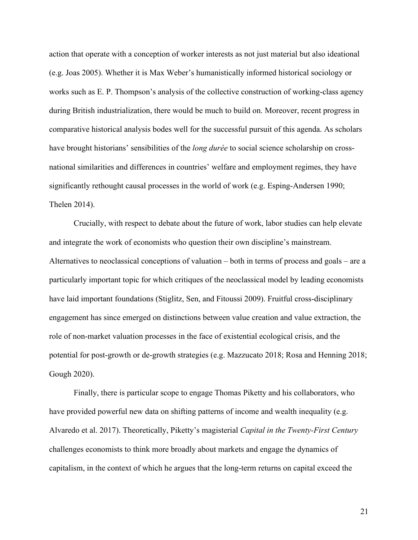action that operate with a conception of worker interests as not just material but also ideational (e.g. Joas 2005). Whether it is Max Weber's humanistically informed historical sociology or works such as E. P. Thompson's analysis of the collective construction of working-class agency during British industrialization, there would be much to build on. Moreover, recent progress in comparative historical analysis bodes well for the successful pursuit of this agenda. As scholars have brought historians' sensibilities of the *long durée* to social science scholarship on crossnational similarities and differences in countries' welfare and employment regimes, they have significantly rethought causal processes in the world of work (e.g. Esping-Andersen 1990; Thelen 2014).

Crucially, with respect to debate about the future of work, labor studies can help elevate and integrate the work of economists who question their own discipline's mainstream. Alternatives to neoclassical conceptions of valuation – both in terms of process and goals – are a particularly important topic for which critiques of the neoclassical model by leading economists have laid important foundations (Stiglitz, Sen, and Fitoussi 2009). Fruitful cross-disciplinary engagement has since emerged on distinctions between value creation and value extraction, the role of non-market valuation processes in the face of existential ecological crisis, and the potential for post-growth or de-growth strategies (e.g. Mazzucato 2018; Rosa and Henning 2018; Gough 2020).

Finally, there is particular scope to engage Thomas Piketty and his collaborators, who have provided powerful new data on shifting patterns of income and wealth inequality (e.g. Alvaredo et al. 2017). Theoretically, Piketty's magisterial *Capital in the Twenty-First Century* challenges economists to think more broadly about markets and engage the dynamics of capitalism, in the context of which he argues that the long-term returns on capital exceed the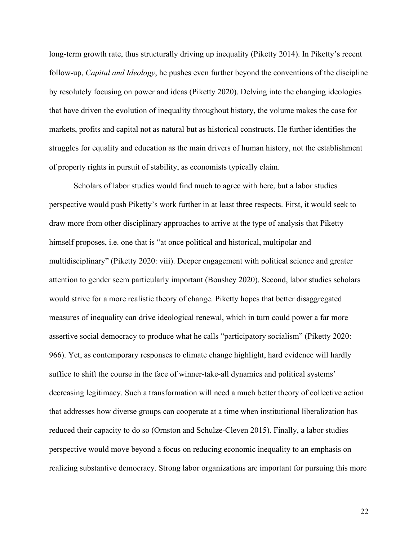long-term growth rate, thus structurally driving up inequality (Piketty 2014). In Piketty's recent follow-up, *Capital and Ideology*, he pushes even further beyond the conventions of the discipline by resolutely focusing on power and ideas (Piketty 2020). Delving into the changing ideologies that have driven the evolution of inequality throughout history, the volume makes the case for markets, profits and capital not as natural but as historical constructs. He further identifies the struggles for equality and education as the main drivers of human history, not the establishment of property rights in pursuit of stability, as economists typically claim.

Scholars of labor studies would find much to agree with here, but a labor studies perspective would push Piketty's work further in at least three respects. First, it would seek to draw more from other disciplinary approaches to arrive at the type of analysis that Piketty himself proposes, *i.e.* one that is "at once political and historical, multipolar and multidisciplinary" (Piketty 2020: viii). Deeper engagement with political science and greater attention to gender seem particularly important (Boushey 2020). Second, labor studies scholars would strive for a more realistic theory of change. Piketty hopes that better disaggregated measures of inequality can drive ideological renewal, which in turn could power a far more assertive social democracy to produce what he calls "participatory socialism" (Piketty 2020: 966). Yet, as contemporary responses to climate change highlight, hard evidence will hardly suffice to shift the course in the face of winner-take-all dynamics and political systems' decreasing legitimacy. Such a transformation will need a much better theory of collective action that addresses how diverse groups can cooperate at a time when institutional liberalization has reduced their capacity to do so (Ornston and Schulze-Cleven 2015). Finally, a labor studies perspective would move beyond a focus on reducing economic inequality to an emphasis on realizing substantive democracy. Strong labor organizations are important for pursuing this more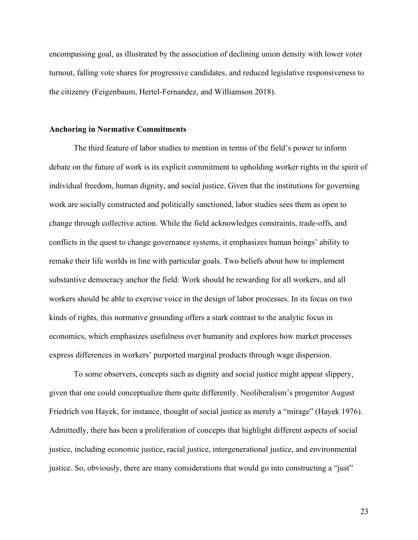encompassing goal, as illustrated by the association of declining union density with lower voter turnout, falling vote shares for progressive candidates, and reduced legislative responsiveness to the citizenry (Feigenbaum, Hertel-Fernandez, and Williamson 2018).

#### **Anchoring in Normative Commitments**

The third feature of labor studies to mention in terms of the field's power to inform debate on the future of work is its explicit commitment to upholding worker rights in the spirit of individual freedom, human dignity, and social justice. Given that the institutions for governing work are socially constructed and politically sanctioned, labor studies sees them as open to change through collective action. While the field acknowledges constraints, trade-offs, and conflicts in the quest to change governance systems, it emphasizes human beings' ability to remake their life worlds in line with particular goals. Two beliefs about how to implement substantive democracy anchor the field: Work should be rewarding for all workers, and all workers should be able to exercise voice in the design of labor processes. In its focus on two kinds of rights, this normative grounding offers a stark contrast to the analytic focus in economics, which emphasizes usefulness over humanity and explores how market processes express differences in workers' purported marginal products through wage dispersion.

To some observers, concepts such as dignity and social justice might appear slippery, given that one could conceptualize them quite differently. Neoliberalism's progenitor August Friedrich von Hayek, for instance, thought of social justice as merely a "mirage" (Hayek 1976). Admittedly, there has been a proliferation of concepts that highlight different aspects of social justice, including economic justice, racial justice, intergenerational justice, and environmental justice. So, obviously, there are many considerations that would go into constructing a "just"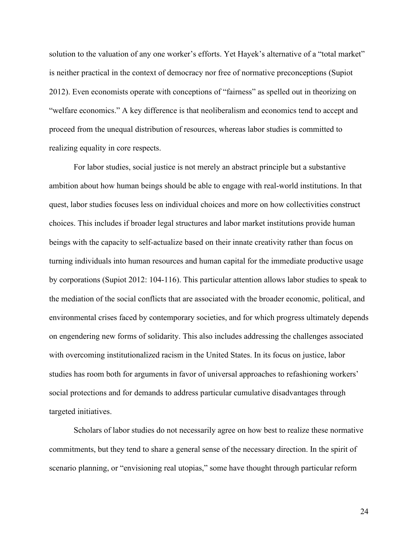solution to the valuation of any one worker's efforts. Yet Hayek's alternative of a "total market" is neither practical in the context of democracy nor free of normative preconceptions (Supiot 2012). Even economists operate with conceptions of "fairness" as spelled out in theorizing on "welfare economics." A key difference is that neoliberalism and economics tend to accept and proceed from the unequal distribution of resources, whereas labor studies is committed to realizing equality in core respects.

For labor studies, social justice is not merely an abstract principle but a substantive ambition about how human beings should be able to engage with real-world institutions. In that quest, labor studies focuses less on individual choices and more on how collectivities construct choices. This includes if broader legal structures and labor market institutions provide human beings with the capacity to self-actualize based on their innate creativity rather than focus on turning individuals into human resources and human capital for the immediate productive usage by corporations (Supiot 2012: 104-116). This particular attention allows labor studies to speak to the mediation of the social conflicts that are associated with the broader economic, political, and environmental crises faced by contemporary societies, and for which progress ultimately depends on engendering new forms of solidarity. This also includes addressing the challenges associated with overcoming institutionalized racism in the United States. In its focus on justice, labor studies has room both for arguments in favor of universal approaches to refashioning workers' social protections and for demands to address particular cumulative disadvantages through targeted initiatives.

Scholars of labor studies do not necessarily agree on how best to realize these normative commitments, but they tend to share a general sense of the necessary direction. In the spirit of scenario planning, or "envisioning real utopias," some have thought through particular reform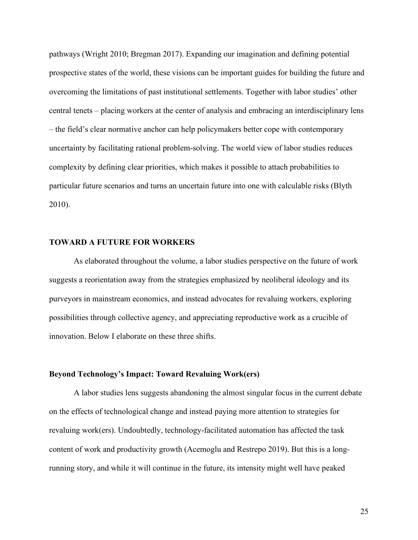pathways (Wright 2010; Bregman 2017). Expanding our imagination and defining potential prospective states of the world, these visions can be important guides for building the future and overcoming the limitations of past institutional settlements. Together with labor studies' other central tenets – placing workers at the center of analysis and embracing an interdisciplinary lens – the field's clear normative anchor can help policymakers better cope with contemporary uncertainty by facilitating rational problem-solving. The world view of labor studies reduces complexity by defining clear priorities, which makes it possible to attach probabilities to particular future scenarios and turns an uncertain future into one with calculable risks (Blyth 2010).

#### **TOWARD A FUTURE FOR WORKERS**

As elaborated throughout the volume, a labor studies perspective on the future of work suggests a reorientation away from the strategies emphasized by neoliberal ideology and its purveyors in mainstream economics, and instead advocates for revaluing workers, exploring possibilities through collective agency, and appreciating reproductive work as a crucible of innovation. Below I elaborate on these three shifts.

#### **Beyond Technology's Impact: Toward Revaluing Work(ers)**

A labor studies lens suggests abandoning the almost singular focus in the current debate on the effects of technological change and instead paying more attention to strategies for revaluing work(ers). Undoubtedly, technology-facilitated automation has affected the task content of work and productivity growth (Acemoglu and Restrepo 2019). But this is a longrunning story, and while it will continue in the future, its intensity might well have peaked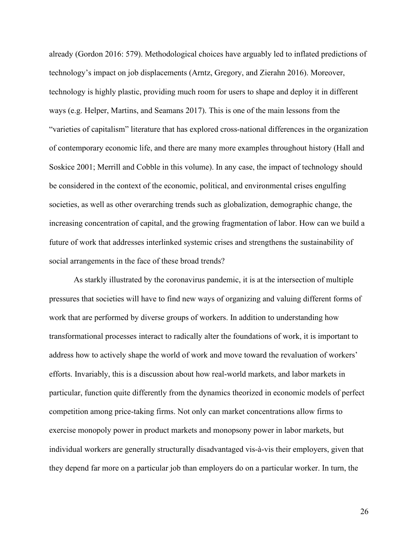already (Gordon 2016: 579). Methodological choices have arguably led to inflated predictions of technology's impact on job displacements (Arntz, Gregory, and Zierahn 2016). Moreover, technology is highly plastic, providing much room for users to shape and deploy it in different ways (e.g. Helper, Martins, and Seamans 2017). This is one of the main lessons from the "varieties of capitalism" literature that has explored cross-national differences in the organization of contemporary economic life, and there are many more examples throughout history (Hall and Soskice 2001; Merrill and Cobble in this volume). In any case, the impact of technology should be considered in the context of the economic, political, and environmental crises engulfing societies, as well as other overarching trends such as globalization, demographic change, the increasing concentration of capital, and the growing fragmentation of labor. How can we build a future of work that addresses interlinked systemic crises and strengthens the sustainability of social arrangements in the face of these broad trends?

As starkly illustrated by the coronavirus pandemic, it is at the intersection of multiple pressures that societies will have to find new ways of organizing and valuing different forms of work that are performed by diverse groups of workers. In addition to understanding how transformational processes interact to radically alter the foundations of work, it is important to address how to actively shape the world of work and move toward the revaluation of workers' efforts. Invariably, this is a discussion about how real-world markets, and labor markets in particular, function quite differently from the dynamics theorized in economic models of perfect competition among price-taking firms. Not only can market concentrations allow firms to exercise monopoly power in product markets and monopsony power in labor markets, but individual workers are generally structurally disadvantaged vis-à-vis their employers, given that they depend far more on a particular job than employers do on a particular worker. In turn, the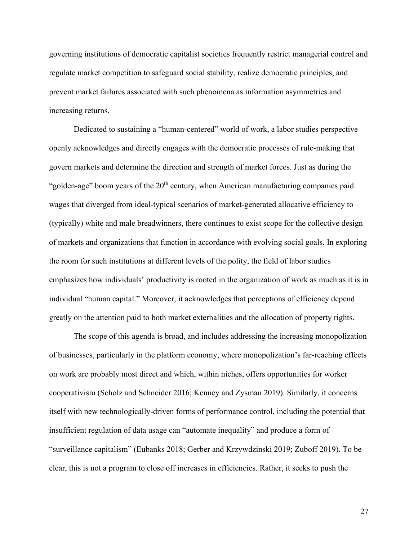governing institutions of democratic capitalist societies frequently restrict managerial control and regulate market competition to safeguard social stability, realize democratic principles, and prevent market failures associated with such phenomena as information asymmetries and increasing returns.

Dedicated to sustaining a "human-centered" world of work, a labor studies perspective openly acknowledges and directly engages with the democratic processes of rule-making that govern markets and determine the direction and strength of market forces. Just as during the "golden-age" boom years of the  $20<sup>th</sup>$  century, when American manufacturing companies paid wages that diverged from ideal-typical scenarios of market-generated allocative efficiency to (typically) white and male breadwinners, there continues to exist scope for the collective design of markets and organizations that function in accordance with evolving social goals. In exploring the room for such institutions at different levels of the polity, the field of labor studies emphasizes how individuals' productivity is rooted in the organization of work as much as it is in individual "human capital." Moreover, it acknowledges that perceptions of efficiency depend greatly on the attention paid to both market externalities and the allocation of property rights.

The scope of this agenda is broad, and includes addressing the increasing monopolization of businesses, particularly in the platform economy, where monopolization's far-reaching effects on work are probably most direct and which, within niches, offers opportunities for worker cooperativism (Scholz and Schneider 2016; Kenney and Zysman 2019). Similarly, it concerns itself with new technologically-driven forms of performance control, including the potential that insufficient regulation of data usage can "automate inequality" and produce a form of "surveillance capitalism" (Eubanks 2018; Gerber and Krzywdzinski 2019; Zuboff 2019). To be clear, this is not a program to close off increases in efficiencies. Rather, it seeks to push the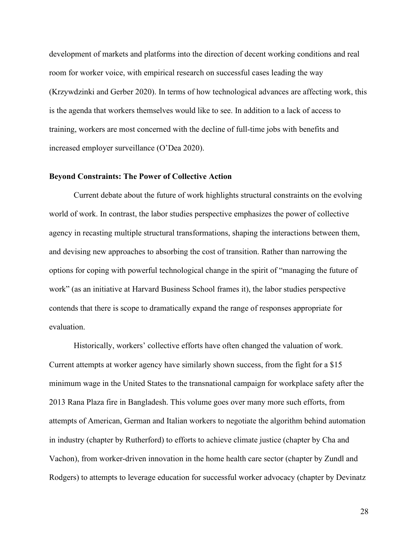development of markets and platforms into the direction of decent working conditions and real room for worker voice, with empirical research on successful cases leading the way (Krzywdzinki and Gerber 2020). In terms of how technological advances are affecting work, this is the agenda that workers themselves would like to see. In addition to a lack of access to training, workers are most concerned with the decline of full-time jobs with benefits and increased employer surveillance (O'Dea 2020).

#### **Beyond Constraints: The Power of Collective Action**

Current debate about the future of work highlights structural constraints on the evolving world of work. In contrast, the labor studies perspective emphasizes the power of collective agency in recasting multiple structural transformations, shaping the interactions between them, and devising new approaches to absorbing the cost of transition. Rather than narrowing the options for coping with powerful technological change in the spirit of "managing the future of work" (as an initiative at Harvard Business School frames it), the labor studies perspective contends that there is scope to dramatically expand the range of responses appropriate for evaluation.

Historically, workers' collective efforts have often changed the valuation of work. Current attempts at worker agency have similarly shown success, from the fight for a \$15 minimum wage in the United States to the transnational campaign for workplace safety after the 2013 Rana Plaza fire in Bangladesh. This volume goes over many more such efforts, from attempts of American, German and Italian workers to negotiate the algorithm behind automation in industry (chapter by Rutherford) to efforts to achieve climate justice (chapter by Cha and Vachon), from worker-driven innovation in the home health care sector (chapter by Zundl and Rodgers) to attempts to leverage education for successful worker advocacy (chapter by Devinatz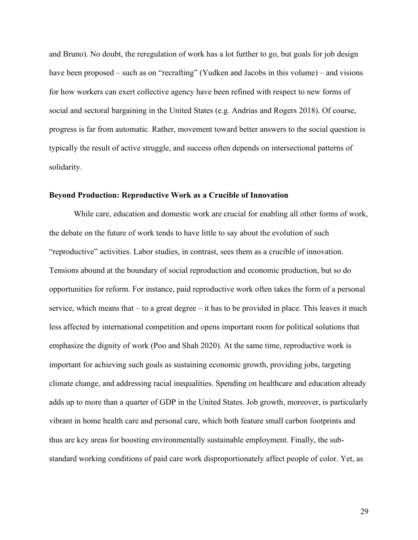and Bruno). No doubt, the reregulation of work has a lot further to go, but goals for job design have been proposed – such as on "recrafting" (Yudken and Jacobs in this volume) – and visions for how workers can exert collective agency have been refined with respect to new forms of social and sectoral bargaining in the United States (e.g. Andrias and Rogers 2018). Of course, progress is far from automatic. Rather, movement toward better answers to the social question is typically the result of active struggle, and success often depends on intersectional patterns of solidarity.

#### **Beyond Production: Reproductive Work as a Crucible of Innovation**

While care, education and domestic work are crucial for enabling all other forms of work, the debate on the future of work tends to have little to say about the evolution of such "reproductive" activities. Labor studies, in contrast, sees them as a crucible of innovation. Tensions abound at the boundary of social reproduction and economic production, but so do opportunities for reform. For instance, paid reproductive work often takes the form of a personal service, which means that  $-$  to a great degree  $-$  it has to be provided in place. This leaves it much less affected by international competition and opens important room for political solutions that emphasize the dignity of work (Poo and Shah 2020). At the same time, reproductive work is important for achieving such goals as sustaining economic growth, providing jobs, targeting climate change, and addressing racial inequalities. Spending on healthcare and education already adds up to more than a quarter of GDP in the United States. Job growth, moreover, is particularly vibrant in home health care and personal care, which both feature small carbon footprints and thus are key areas for boosting environmentally sustainable employment. Finally, the substandard working conditions of paid care work disproportionately affect people of color. Yet, as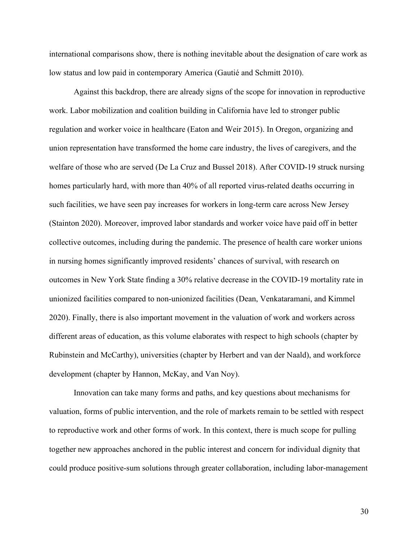international comparisons show, there is nothing inevitable about the designation of care work as low status and low paid in contemporary America (Gautié and Schmitt 2010).

Against this backdrop, there are already signs of the scope for innovation in reproductive work. Labor mobilization and coalition building in California have led to stronger public regulation and worker voice in healthcare (Eaton and Weir 2015). In Oregon, organizing and union representation have transformed the home care industry, the lives of caregivers, and the welfare of those who are served (De La Cruz and Bussel 2018). After COVID-19 struck nursing homes particularly hard, with more than 40% of all reported virus-related deaths occurring in such facilities, we have seen pay increases for workers in long-term care across New Jersey (Stainton 2020). Moreover, improved labor standards and worker voice have paid off in better collective outcomes, including during the pandemic. The presence of health care worker unions in nursing homes significantly improved residents' chances of survival, with research on outcomes in New York State finding a 30% relative decrease in the COVID-19 mortality rate in unionized facilities compared to non-unionized facilities (Dean, Venkataramani, and Kimmel 2020). Finally, there is also important movement in the valuation of work and workers across different areas of education, as this volume elaborates with respect to high schools (chapter by Rubinstein and McCarthy), universities (chapter by Herbert and van der Naald), and workforce development (chapter by Hannon, McKay, and Van Noy).

Innovation can take many forms and paths, and key questions about mechanisms for valuation, forms of public intervention, and the role of markets remain to be settled with respect to reproductive work and other forms of work. In this context, there is much scope for pulling together new approaches anchored in the public interest and concern for individual dignity that could produce positive-sum solutions through greater collaboration, including labor-management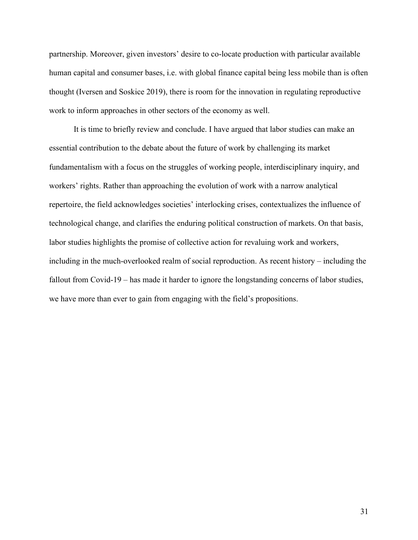partnership. Moreover, given investors' desire to co-locate production with particular available human capital and consumer bases, i.e. with global finance capital being less mobile than is often thought (Iversen and Soskice 2019), there is room for the innovation in regulating reproductive work to inform approaches in other sectors of the economy as well.

It is time to briefly review and conclude. I have argued that labor studies can make an essential contribution to the debate about the future of work by challenging its market fundamentalism with a focus on the struggles of working people, interdisciplinary inquiry, and workers' rights. Rather than approaching the evolution of work with a narrow analytical repertoire, the field acknowledges societies' interlocking crises, contextualizes the influence of technological change, and clarifies the enduring political construction of markets. On that basis, labor studies highlights the promise of collective action for revaluing work and workers, including in the much-overlooked realm of social reproduction. As recent history – including the fallout from Covid-19 – has made it harder to ignore the longstanding concerns of labor studies, we have more than ever to gain from engaging with the field's propositions.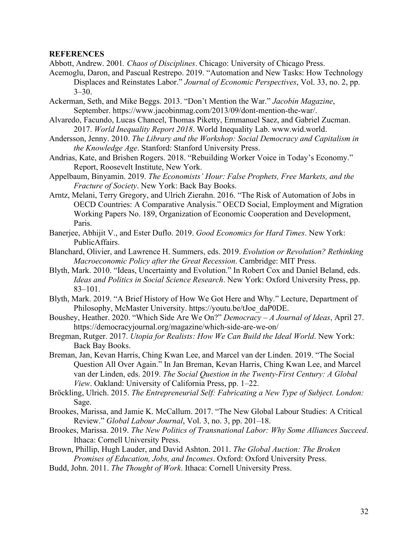#### **REFERENCES**

Abbott, Andrew. 2001*. Chaos of Disciplines*. Chicago: University of Chicago Press.

- Acemoglu, Daron, and Pascual Restrepo. 2019. "Automation and New Tasks: How Technology Displaces and Reinstates Labor." *Journal of Economic Perspectives*, Vol. 33, no. 2, pp.  $3 - 30.$
- Ackerman, Seth, and Mike Beggs. 2013. "Don't Mention the War." *Jacobin Magazine*, September. https://www.jacobinmag.com/2013/09/dont-mention-the-war/.
- Alvaredo, Facundo, Lucas Chancel, Thomas Piketty, Emmanuel Saez, and Gabriel Zucman. 2017. *World Inequality Report 2018*. World Inequality Lab. www.wid.world.
- Andersson, Jenny. 2010. *The Library and the Workshop: Social Democracy and Capitalism in the Knowledge Age*. Stanford: Stanford University Press.
- Andrias, Kate, and Brishen Rogers. 2018. "Rebuilding Worker Voice in Today's Economy." Report, Roosevelt Institute, New York.
- Appelbaum, Binyamin. 2019. *The Economists' Hour: False Prophets, Free Markets, and the Fracture of Society*. New York: Back Bay Books.
- Arntz, Melani, Terry Gregory, and Ulrich Zierahn. 2016. "The Risk of Automation of Jobs in OECD Countries: A Comparative Analysis." OECD Social, Employment and Migration Working Papers No. 189, Organization of Economic Cooperation and Development, Paris.
- Banerjee, Abhijit V., and Ester Duflo. 2019. *Good Economics for Hard Times*. New York: PublicAffairs.
- Blanchard, Olivier, and Lawrence H. Summers, eds. 2019. *Evolution or Revolution? Rethinking Macroeconomic Policy after the Great Recession*. Cambridge: MIT Press.
- Blyth, Mark. 2010. "Ideas, Uncertainty and Evolution." In Robert Cox and Daniel Beland, eds. *Ideas and Politics in Social Science Research*. New York: Oxford University Press, pp. 83–101.
- Blyth, Mark. 2019. "A Brief History of How We Got Here and Why." Lecture, Department of Philosophy, McMaster University. https://youtu.be/tJoe\_daP0DE.
- Boushey, Heather. 2020. "Which Side Are We On?" *Democracy – A Journal of Ideas*, April 27. https://democracyjournal.org/magazine/which-side-are-we-on/
- Bregman, Rutger. 2017. *Utopia for Realists: How We Can Build the Ideal World*. New York: Back Bay Books.
- Breman, Jan, Kevan Harris, Ching Kwan Lee, and Marcel van der Linden. 2019. "The Social Question All Over Again." In Jan Breman, Kevan Harris, Ching Kwan Lee, and Marcel van der Linden, eds. 2019. *The Social Question in the Twenty-First Century: A Global View*. Oakland: University of California Press, pp. 1–22.
- Bröckling, Ulrich. 2015. *The Entrepreneurial Self: Fabricating a New Type of Subject. London:* Sage.
- Brookes, Marissa, and Jamie K. McCallum. 2017. "The New Global Labour Studies: A Critical Review." *Global Labour Journal*, Vol. 3, no. 3, pp. 201–18.
- Brookes, Marissa. 2019. *The New Politics of Transnational Labor: Why Some Alliances Succeed*. Ithaca: Cornell University Press.
- Brown, Phillip, Hugh Lauder, and David Ashton. 2011. *The Global Auction: The Broken Promises of Education, Jobs, and Incomes*. Oxford: Oxford University Press.
- Budd, John. 2011. *The Thought of Work*. Ithaca: Cornell University Press.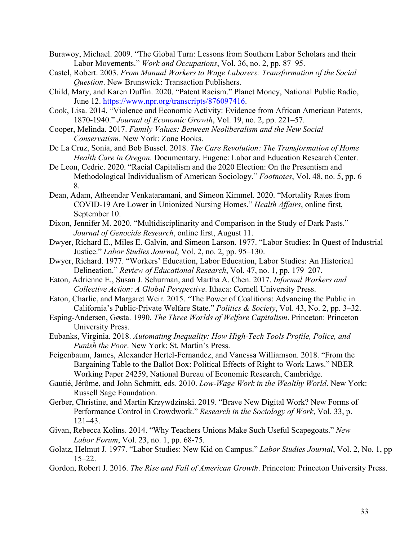- Burawoy, Michael. 2009. "The Global Turn: Lessons from Southern Labor Scholars and their Labor Movements." *Work and Occupations*, Vol. 36, no. 2, pp. 87–95.
- Castel, Robert. 2003. *From Manual Workers to Wage Laborers: Transformation of the Social Question*. New Brunswick: Transaction Publishers.
- Child, Mary, and Karen Duffin. 2020. "Patent Racism." Planet Money, National Public Radio, June 12. [https://www.npr.org/transcripts/876097416.](https://nam02.safelinks.protection.outlook.com/?url=https%3A%2F%2Fwww.npr.org%2Ftranscripts%2F876097416&data=02%7C01%7Ctobias.schulzecleven%40rutgers.edu%7C5f7b74b9266148cf391608d859b1224a%7Cb92d2b234d35447093ff69aca6632ffe%7C1%7C0%7C637357964607726497&sdata=5C9FnzRYMZhuaDFSrILAHyXCUigDVxVo5BngoI5XOKo%3D&reserved=0)
- Cook, Lisa. 2014. "Violence and Economic Activity: Evidence from African American Patents, 1870-1940." *Journal of Economic Growth*, Vol. 19, no. 2, pp. 221–57.
- Cooper, Melinda. 2017. *Family Values: Between Neoliberalism and the New Social Conservatism*. New York: Zone Books.
- De La Cruz, Sonia, and Bob Bussel. 2018. *The Care Revolution: The Transformation of Home Health Care in Oregon*. Documentary. Eugene: Labor and Education Research Center.
- De Leon, Cedric. 2020. "Racial Capitalism and the 2020 Election: On the Presentism and Methodological Individualism of American Sociology." *Footnotes*, Vol. 48, no. 5, pp. 6– 8.
- Dean, Adam, Atheendar Venkataramani, and Simeon Kimmel. 2020. "Mortality Rates from COVID-19 Are Lower in Unionized Nursing Homes." *Health Affairs*, online first, September 10.
- Dixon, Jennifer M. 2020. "Multidisciplinarity and Comparison in the Study of Dark Pasts." *Journal of Genocide Research*, online first, August 11.
- Dwyer, Richard E., Miles E. Galvin, and Simeon Larson. 1977. "Labor Studies: In Quest of Industrial Justice." *Labor Studies Journal*, Vol. 2, no. 2, pp. 95–130.
- Dwyer, Richard. 1977. "Workers' Education, Labor Education, Labor Studies: An Historical Delineation." *Review of Educational Research*, Vol. 47, no. 1, pp. 179–207.
- Eaton, Adrienne E., Susan J. Schurman, and Martha A. Chen. 2017. *Informal Workers and Collective Action: A Global Perspective*. Ithaca: Cornell University Press.
- Eaton, Charlie, and Margaret Weir. 2015. "The Power of Coalitions: Advancing the Public in California's Public-Private Welfare State." *Politics & Society*, Vol. 43, No. 2, pp. 3–32.
- Esping-Andersen, Gøsta. 1990. *The Three Worlds of Welfare Capitalism*. Princeton: Princeton University Press.
- Eubanks, Virginia. 2018. *Automating Inequality: How High-Tech Tools Profile, Police, and Punish the Poor*. New York: St. Martin's Press.
- Feigenbaum, James, Alexander Hertel-Fernandez, and Vanessa Williamson. 2018. "From the Bargaining Table to the Ballot Box: Political Effects of Right to Work Laws." NBER Working Paper 24259, National Bureau of Economic Research, Cambridge.
- Gautié, Jérôme, and John Schmitt, eds. 2010. *Low-Wage Work in the Wealthy World*. New York: Russell Sage Foundation.
- Gerber, Christine, and Martin Krzywdzinski. 2019. "Brave New Digital Work? New Forms of Performance Control in Crowdwork." *Research in the Sociology of Work*, Vol. 33, p. 121–43.
- Givan, Rebecca Kolins. 2014. "Why Teachers Unions Make Such Useful Scapegoats." *New Labor Forum*, Vol. 23, no. 1, pp. 68-75.
- Golatz, Helmut J. 1977. "Labor Studies: New Kid on Campus." *Labor Studies Journal*, Vol. 2, No. 1, pp 15–22.
- Gordon, Robert J. 2016. *The Rise and Fall of American Growth*. Princeton: Princeton University Press.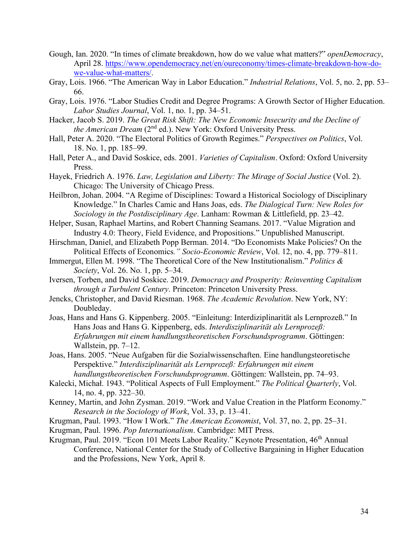- Gough, Ian. 2020. "In times of climate breakdown, how do we value what matters?" *openDemocracy*, April 28. [https://www.opendemocracy.net/en/oureconomy/times-climate-breakdown-how-do](https://www.opendemocracy.net/en/oureconomy/times-climate-breakdown-how-do-we-value-what-matters/)[we-value-what-matters/.](https://www.opendemocracy.net/en/oureconomy/times-climate-breakdown-how-do-we-value-what-matters/)
- Gray, Lois. 1966. "The American Way in Labor Education." *Industrial Relations*, Vol. 5, no. 2, pp. 53– 66.
- Gray, Lois. 1976. "Labor Studies Credit and Degree Programs: A Growth Sector of Higher Education. *Labor Studies Journal*, Vol. 1, no. 1, pp. 34–51.
- Hacker, Jacob S. 2019. *The Great Risk Shift: The New Economic Insecurity and the Decline of the American Dream* (2<sup>nd</sup> ed.). New York: Oxford University Press.
- Hall, Peter A. 2020. "The Electoral Politics of Growth Regimes." *Perspectives on Politics*, Vol. 18. No. 1, pp. 185–99.
- Hall, Peter A., and David Soskice, eds. 2001. *Varieties of Capitalism*. Oxford: Oxford University Press.
- Hayek, Friedrich A. 1976. *Law, Legislation and Liberty: The Mirage of Social Justice* (Vol. 2). Chicago: The University of Chicago Press.
- Heilbron, Johan. 2004. "A Regime of Disciplines: Toward a Historical Sociology of Disciplinary Knowledge." In Charles Camic and Hans Joas, eds. *The Dialogical Turn: New Roles for Sociology in the Postdisciplinary Age*. Lanham: Rowman & Littlefield, pp. 23–42.
- Helper, Susan, Raphael Martins, and Robert Channing Seamans. 2017. "Value Migration and Industry 4.0: Theory, Field Evidence, and Propositions." Unpublished Manuscript.
- Hirschman, Daniel, and Elizabeth Popp Berman. 2014. "Do Economists Make Policies? On the Political Effects of Economics*." Socio-Economic Review*, Vol. 12, no. 4, pp. 779–811.
- Immergut, Ellen M. 1998. "The Theoretical Core of the New Institutionalism." *Politics & Society*, Vol. 26. No. 1, pp. 5–34.
- Iversen, Torben, and David Soskice. 2019. *Democracy and Prosperity: Reinventing Capitalism through a Turbulent Century*. Princeton: Princeton University Press.
- Jencks, Christopher, and David Riesman. 1968. *The Academic Revolution*. New York, NY: Doubleday.
- Joas, Hans and Hans G. Kippenberg. 2005. "Einleitung: Interdiziplinarität als Lernprozeß." In Hans Joas and Hans G. Kippenberg, eds. *Interdisziplinarität als Lernprozeß: Erfahrungen mit einem handlungstheoretischen Forschundsprogramm*. Göttingen: Wallstein, pp. 7–12.
- Joas, Hans. 2005. "Neue Aufgaben für die Sozialwissenschaften. Eine handlungsteoretische Perspektive." *Interdisziplinarität als Lernprozeß: Erfahrungen mit einem handlungstheoretischen Forschundsprogramm*. Göttingen: Wallstein, pp. 74–93.
- Kalecki, Michał. 1943. "Political Aspects of Full Employment." *The Political Quarterly*, Vol. 14, no. 4, pp. 322–30.
- Kenney, Martin, and John Zysman. 2019. "Work and Value Creation in the Platform Economy." *Research in the Sociology of Work*, Vol. 33, p. 13–41.
- Krugman, Paul. 1993. "How I Work." *The American Economist*, Vol. 37, no. 2, pp. 25–31.
- Krugman, Paul. 1996. *Pop Internationalism*. Cambridge: MIT Press.
- Krugman, Paul. 2019. "Econ 101 Meets Labor Reality." Keynote Presentation, 46th Annual Conference, National Center for the Study of Collective Bargaining in Higher Education and the Professions, New York, April 8.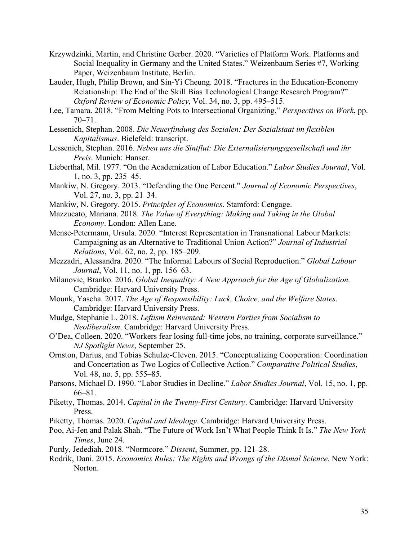- Krzywdzinki, Martin, and Christine Gerber. 2020. "Varieties of Platform Work. Platforms and Social Inequality in Germany and the United States." Weizenbaum Series #7, Working Paper, Weizenbaum Institute, Berlin.
- Lauder, Hugh, Philip Brown, and Sin-Yi Cheung. 2018. "Fractures in the Education-Economy Relationship: The End of the Skill Bias Technological Change Research Program?" *Oxford Review of Economic Policy*, Vol. 34, no. 3, pp. 495–515.
- Lee, Tamara. 2018. "From Melting Pots to Intersectional Organizing," *Perspectives on Work*, pp. 70–71.
- Lessenich, Stephan. 2008. *Die Neuerfindung des Sozialen: Der Sozialstaat im flexiblen Kapitalismus*. Bielefeld: transcript.
- Lessenich, Stephan. 2016. *Neben uns die Sintflut: Die Externalisierungsgesellschaft und ihr Preis*. Munich: Hanser.
- Lieberthal, Mil. 1977. "On the Academization of Labor Education." *Labor Studies Journal*, Vol. 1, no. 3, pp. 235–45.
- Mankiw, N. Gregory. 2013. "Defending the One Percent." *Journal of Economic Perspectives*, Vol. 27, no. 3, pp. 21–34.
- Mankiw, N. Gregory. 2015. *Principles of Economics*. Stamford: Cengage.
- Mazzucato, Mariana. 2018. *The Value of Everything: Making and Taking in the Global Economy*. London: Allen Lane.
- Mense-Petermann, Ursula. 2020. "Interest Representation in Transnational Labour Markets: Campaigning as an Alternative to Traditional Union Action?" *Journal of Industrial Relations*, Vol. 62, no. 2, pp. 185–209.
- Mezzadri, Alessandra. 2020. "The Informal Labours of Social Reproduction." *Global Labour Journal*, Vol. 11, no. 1, pp. 156–63.
- Milanovic, Branko. 2016. *Global Inequality: A New Approach for the Age of Globalization.* Cambridge: Harvard University Press.
- Mounk, Yascha. 2017. *The Age of Responsibility: Luck, Choice, and the Welfare States*. Cambridge: Harvard University Press.
- Mudge, Stephanie L. 2018. *Leftism Reinvented: Western Parties from Socialism to Neoliberalism*. Cambridge: Harvard University Press.
- O'Dea, Colleen. 2020. "Workers fear losing full-time jobs, no training, corporate surveillance." *NJ Spotlight News*, September 25.
- Ornston, Darius, and Tobias Schulze-Cleven. 2015. "Conceptualizing Cooperation: Coordination and Concertation as Two Logics of Collective Action." *Comparative Political Studies*, Vol. 48, no. 5, pp. 555–85.
- Parsons, Michael D. 1990. "Labor Studies in Decline." *Labor Studies Journal*, Vol. 15, no. 1, pp. 66–81.
- Piketty, Thomas. 2014. *Capital in the Twenty-First Century*. Cambridge: Harvard University Press.
- Piketty, Thomas. 2020. *Capital and Ideology*. Cambridge: Harvard University Press.
- Poo, Ai-Jen and Palak Shah. "The Future of Work Isn't What People Think It Is." *The New York Times*, June 24.
- Purdy, Jedediah. 2018. "Normcore." *Dissent*, Summer, pp. 121–28.
- Rodrik, Dani. 2015. *Economics Rules: The Rights and Wrongs of the Dismal Science*. New York: Norton.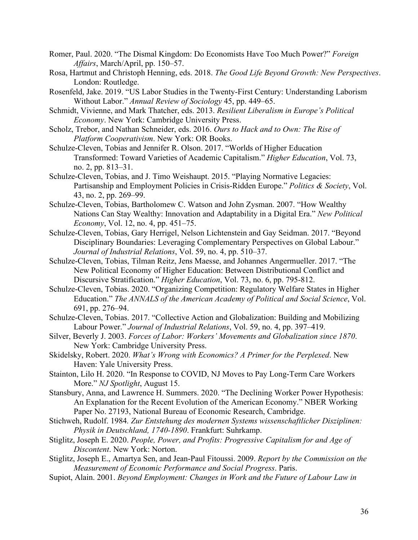- Romer, Paul. 2020. "The Dismal Kingdom: Do Economists Have Too Much Power?" *Foreign Affairs*, March/April, pp. 150–57.
- Rosa, Hartmut and Christoph Henning, eds. 2018. *The Good Life Beyond Growth: New Perspectives*. London: Routledge.
- Rosenfeld, Jake. 2019. "US Labor Studies in the Twenty-First Century: Understanding Laborism Without Labor." *Annual Review of Sociology* 45, pp. 449–65.
- Schmidt, Vivienne, and Mark Thatcher, eds. 2013. *Resilient Liberalism in Europe's Political Economy*. New York: Cambridge University Press.
- Scholz, Trebor, and Nathan Schneider, eds. 2016. *Ours to Hack and to Own: The Rise of Platform Cooperativism*. New York: OR Books.
- Schulze-Cleven, Tobias and Jennifer R. Olson. 2017. "Worlds of Higher Education Transformed: Toward Varieties of Academic Capitalism." *Higher Education*, Vol. 73, no. 2, pp. 813–31.
- Schulze-Cleven, Tobias, and J. Timo Weishaupt. 2015. "Playing Normative Legacies: Partisanship and Employment Policies in Crisis-Ridden Europe." *Politics & Society*, Vol. 43, no. 2, pp. 269–99.
- Schulze-Cleven, Tobias, Bartholomew C. Watson and John Zysman. 2007. "How Wealthy Nations Can Stay Wealthy: Innovation and Adaptability in a Digital Era." *New Political Economy*, Vol. 12, no. 4, pp. 451–75.
- Schulze-Cleven, Tobias, Gary Herrigel, Nelson Lichtenstein and Gay Seidman. 2017. "Beyond Disciplinary Boundaries: Leveraging Complementary Perspectives on Global Labour." *Journal of Industrial Relations*, Vol. 59, no. 4, pp. 510–37.
- Schulze-Cleven, Tobias, Tilman Reitz, Jens Maesse, and Johannes Angermueller. 2017. "The New Political Economy of Higher Education: Between Distributional Conflict and Discursive Stratification." *Higher Education*, Vol. 73, no. 6, pp. 795-812.
- Schulze-Cleven, Tobias. 2020. "Organizing Competition: Regulatory Welfare States in Higher Education." *The ANNALS of the American Academy of Political and Social Science*, Vol. 691, pp. 276–94.
- Schulze-Cleven, Tobias. 2017. "Collective Action and Globalization: Building and Mobilizing Labour Power." *Journal of Industrial Relations*, Vol. 59, no. 4, pp. 397–419.
- Silver, Beverly J. 2003. *Forces of Labor: Workers' Movements and Globalization since 1870*. New York: Cambridge University Press.
- Skidelsky, Robert. 2020. *What's Wrong with Economics? A Primer for the Perplexed*. New Haven: Yale University Press.
- Stainton, Lilo H. 2020. "In Response to COVID, NJ Moves to Pay Long-Term Care Workers More." *NJ Spotlight*, August 15.
- Stansbury, Anna, and Lawrence H. Summers. 2020. "The Declining Worker Power Hypothesis: An Explanation for the Recent Evolution of the American Economy." NBER Working Paper No. 27193, National Bureau of Economic Research, Cambridge.
- Stichweh, Rudolf. 1984*. Zur Entstehung des modernen Systems wissenschaftlicher Disziplinen: Physik in Deutschland, 1740-1890*. Frankfurt: Suhrkamp.
- Stiglitz, Joseph E. 2020. *People, Power, and Profits: Progressive Capitalism for and Age of Discontent*. New York: Norton.
- Stiglitz, Joseph E., Amartya Sen, and Jean-Paul Fitoussi. 2009. *Report by the Commission on the Measurement of Economic Performance and Social Progress*. Paris.
- Supiot, Alain. 2001. *Beyond Employment: Changes in Work and the Future of Labour Law in*